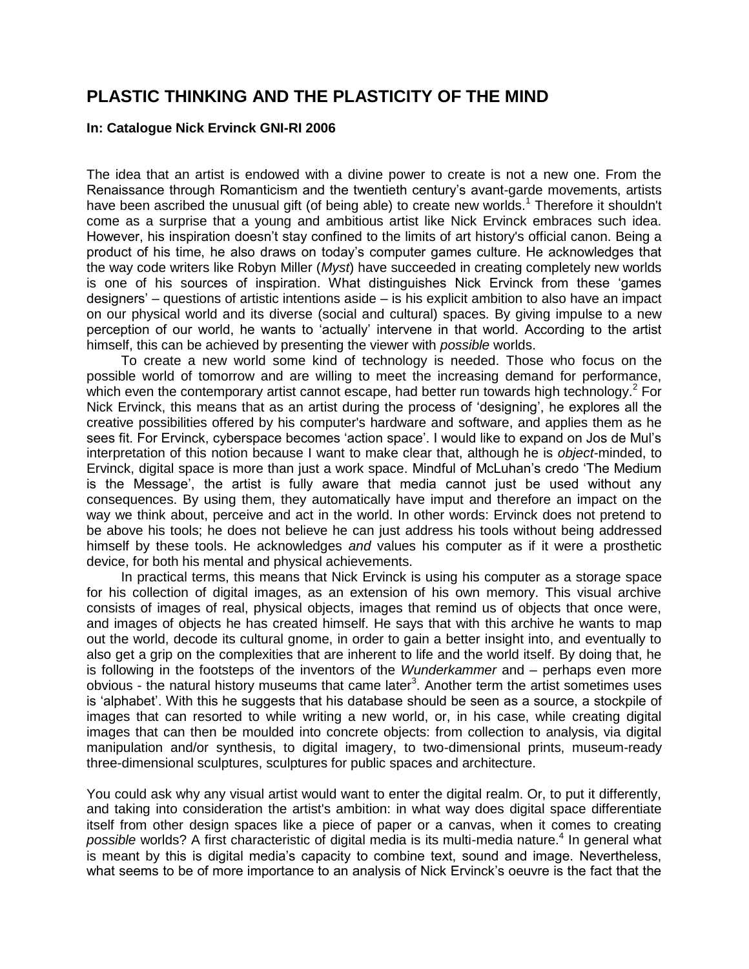## **PLASTIC THINKING AND THE PLASTICITY OF THE MIND**

## **In: Catalogue Nick Ervinck GNI-RI 2006**

The idea that an artist is endowed with a divine power to create is not a new one. From the Renaissance through Romanticism and the twentieth century's avant-garde movements, artists have been ascribed the unusual gift (of being able) to create new worlds.<sup>1</sup> Therefore it shouldn't come as a surprise that a young and ambitious artist like Nick Ervinck embraces such idea. However, his inspiration doesn't stay confined to the limits of art history's official canon. Being a product of his time, he also draws on today's computer games culture. He acknowledges that the way code writers like Robyn Miller (*Myst*) have succeeded in creating completely new worlds is one of his sources of inspiration. What distinguishes Nick Ervinck from these 'games designers' – questions of artistic intentions aside – is his explicit ambition to also have an impact on our physical world and its diverse (social and cultural) spaces. By giving impulse to a new perception of our world, he wants to 'actually' intervene in that world. According to the artist himself, this can be achieved by presenting the viewer with *possible* worlds.

To create a new world some kind of technology is needed. Those who focus on the possible world of tomorrow and are willing to meet the increasing demand for performance, which even the contemporary artist cannot escape, had better run towards high technology.<sup>2</sup> For Nick Ervinck, this means that as an artist during the process of 'designing', he explores all the creative possibilities offered by his computer's hardware and software, and applies them as he sees fit. For Ervinck, cyberspace becomes 'action space'. I would like to expand on Jos de Mul's interpretation of this notion because I want to make clear that, although he is *object-*minded, to Ervinck, digital space is more than just a work space. Mindful of McLuhan's credo 'The Medium is the Message', the artist is fully aware that media cannot just be used without any consequences. By using them, they automatically have imput and therefore an impact on the way we think about, perceive and act in the world. In other words: Ervinck does not pretend to be above his tools; he does not believe he can just address his tools without being addressed himself by these tools. He acknowledges *and* values his computer as if it were a prosthetic device, for both his mental and physical achievements.

In practical terms, this means that Nick Ervinck is using his computer as a storage space for his collection of digital images, as an extension of his own memory. This visual archive consists of images of real, physical objects, images that remind us of objects that once were, and images of objects he has created himself. He says that with this archive he wants to map out the world, decode its cultural gnome, in order to gain a better insight into, and eventually to also get a grip on the complexities that are inherent to life and the world itself. By doing that, he is following in the footsteps of the inventors of the *Wunderkammer* and – perhaps even more obvious - the natural history museums that came later<sup>3</sup>. Another term the artist sometimes uses is 'alphabet'. With this he suggests that his database should be seen as a source, a stockpile of images that can resorted to while writing a new world, or, in his case, while creating digital images that can then be moulded into concrete objects: from collection to analysis, via digital manipulation and/or synthesis, to digital imagery, to two-dimensional prints, museum-ready three-dimensional sculptures, sculptures for public spaces and architecture.

You could ask why any visual artist would want to enter the digital realm. Or, to put it differently, and taking into consideration the artist's ambition: in what way does digital space differentiate itself from other design spaces like a piece of paper or a canvas, when it comes to creating possible worlds? A first characteristic of digital media is its multi-media nature.<sup>4</sup> In general what is meant by this is digital media's capacity to combine text, sound and image. Nevertheless, what seems to be of more importance to an analysis of Nick Ervinck's oeuvre is the fact that the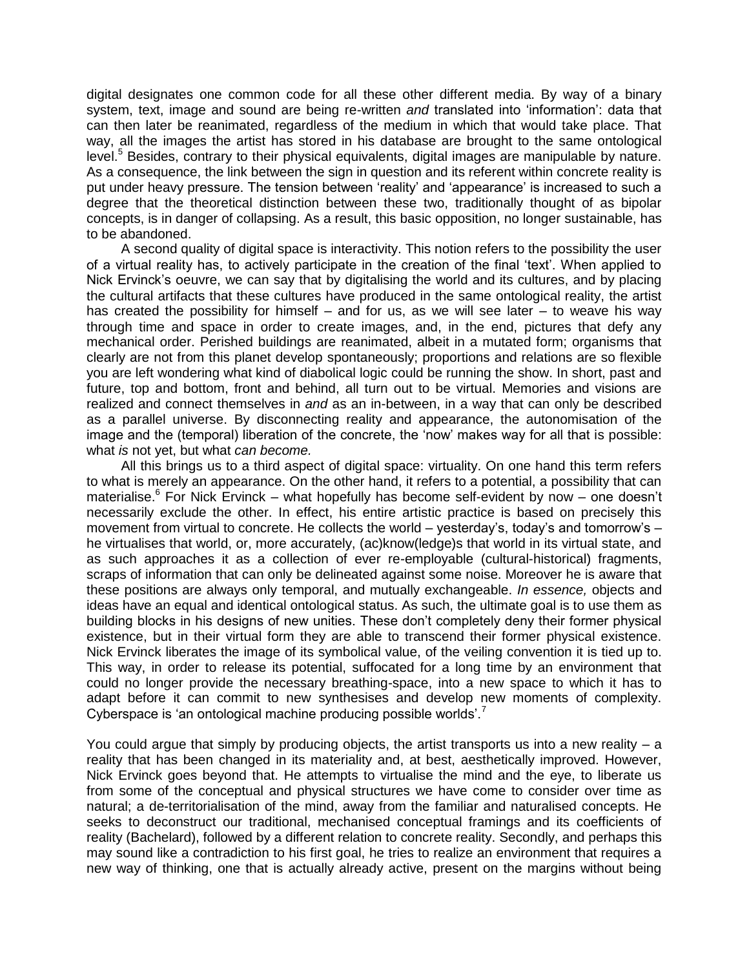digital designates one common code for all these other different media. By way of a binary system, text, image and sound are being re-written *and* translated into 'information': data that can then later be reanimated, regardless of the medium in which that would take place. That way, all the images the artist has stored in his database are brought to the same ontological level.<sup>5</sup> Besides, contrary to their physical equivalents, digital images are manipulable by nature. As a consequence, the link between the sign in question and its referent within concrete reality is put under heavy pressure. The tension between 'reality' and 'appearance' is increased to such a degree that the theoretical distinction between these two, traditionally thought of as bipolar concepts, is in danger of collapsing. As a result, this basic opposition, no longer sustainable, has to be abandoned.

A second quality of digital space is interactivity. This notion refers to the possibility the user of a virtual reality has, to actively participate in the creation of the final 'text'. When applied to Nick Ervinck's oeuvre, we can say that by digitalising the world and its cultures, and by placing the cultural artifacts that these cultures have produced in the same ontological reality, the artist has created the possibility for himself – and for us, as we will see later – to weave his way through time and space in order to create images, and, in the end, pictures that defy any mechanical order. Perished buildings are reanimated, albeit in a mutated form; organisms that clearly are not from this planet develop spontaneously; proportions and relations are so flexible you are left wondering what kind of diabolical logic could be running the show. In short, past and future, top and bottom, front and behind, all turn out to be virtual. Memories and visions are realized and connect themselves in *and* as an in-between, in a way that can only be described as a parallel universe. By disconnecting reality and appearance, the autonomisation of the image and the (temporal) liberation of the concrete, the 'now' makes way for all that is possible: what *is* not yet, but what *can become.* 

All this brings us to a third aspect of digital space: virtuality. On one hand this term refers to what is merely an appearance. On the other hand, it refers to a potential, a possibility that can materialise.<sup>6</sup> For Nick Ervinck – what hopefully has become self-evident by now – one doesn't necessarily exclude the other. In effect, his entire artistic practice is based on precisely this movement from virtual to concrete. He collects the world – yesterday's, today's and tomorrow's – he virtualises that world, or, more accurately, (ac)know(ledge)s that world in its virtual state, and as such approaches it as a collection of ever re-employable (cultural-historical) fragments, scraps of information that can only be delineated against some noise. Moreover he is aware that these positions are always only temporal, and mutually exchangeable. *In essence,* objects and ideas have an equal and identical ontological status. As such, the ultimate goal is to use them as building blocks in his designs of new unities. These don't completely deny their former physical existence, but in their virtual form they are able to transcend their former physical existence. Nick Ervinck liberates the image of its symbolical value, of the veiling convention it is tied up to. This way, in order to release its potential, suffocated for a long time by an environment that could no longer provide the necessary breathing-space, into a new space to which it has to adapt before it can commit to new synthesises and develop new moments of complexity. Cyberspace is 'an ontological machine producing possible worlds'.<sup>7</sup>

You could argue that simply by producing objects, the artist transports us into a new reality  $- a$ reality that has been changed in its materiality and, at best, aesthetically improved. However, Nick Ervinck goes beyond that. He attempts to virtualise the mind and the eye, to liberate us from some of the conceptual and physical structures we have come to consider over time as natural; a de-territorialisation of the mind, away from the familiar and naturalised concepts. He seeks to deconstruct our traditional, mechanised conceptual framings and its coefficients of reality (Bachelard), followed by a different relation to concrete reality. Secondly, and perhaps this may sound like a contradiction to his first goal, he tries to realize an environment that requires a new way of thinking, one that is actually already active, present on the margins without being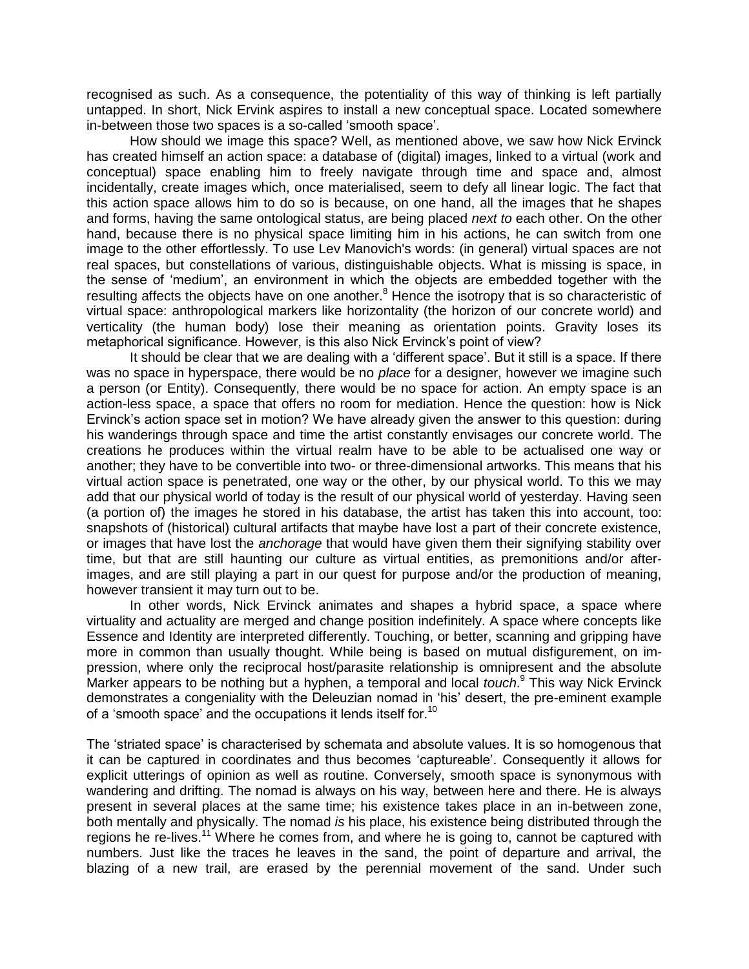recognised as such. As a consequence, the potentiality of this way of thinking is left partially untapped. In short, Nick Ervink aspires to install a new conceptual space. Located somewhere in-between those two spaces is a so-called 'smooth space'.

How should we image this space? Well, as mentioned above, we saw how Nick Ervinck has created himself an action space: a database of (digital) images, linked to a virtual (work and conceptual) space enabling him to freely navigate through time and space and, almost incidentally, create images which, once materialised, seem to defy all linear logic. The fact that this action space allows him to do so is because, on one hand, all the images that he shapes and forms, having the same ontological status, are being placed *next to* each other. On the other hand, because there is no physical space limiting him in his actions, he can switch from one image to the other effortlessly. To use Lev Manovich's words: (in general) virtual spaces are not real spaces, but constellations of various, distinguishable objects. What is missing is space, in the sense of 'medium', an environment in which the objects are embedded together with the resulting affects the objects have on one another.<sup>8</sup> Hence the isotropy that is so characteristic of virtual space: anthropological markers like horizontality (the horizon of our concrete world) and verticality (the human body) lose their meaning as orientation points. Gravity loses its metaphorical significance. However, is this also Nick Ervinck's point of view?

It should be clear that we are dealing with a 'different space'. But it still is a space. If there was no space in hyperspace, there would be no *place* for a designer, however we imagine such a person (or Entity). Consequently, there would be no space for action. An empty space is an action-less space, a space that offers no room for mediation. Hence the question: how is Nick Ervinck's action space set in motion? We have already given the answer to this question: during his wanderings through space and time the artist constantly envisages our concrete world. The creations he produces within the virtual realm have to be able to be actualised one way or another; they have to be convertible into two- or three-dimensional artworks. This means that his virtual action space is penetrated, one way or the other, by our physical world. To this we may add that our physical world of today is the result of our physical world of yesterday. Having seen (a portion of) the images he stored in his database, the artist has taken this into account, too: snapshots of (historical) cultural artifacts that maybe have lost a part of their concrete existence, or images that have lost the *anchorage* that would have given them their signifying stability over time, but that are still haunting our culture as virtual entities, as premonitions and/or afterimages, and are still playing a part in our quest for purpose and/or the production of meaning, however transient it may turn out to be.

In other words, Nick Ervinck animates and shapes a hybrid space, a space where virtuality and actuality are merged and change position indefinitely. A space where concepts like Essence and Identity are interpreted differently. Touching, or better, scanning and gripping have more in common than usually thought. While being is based on mutual disfigurement, on impression, where only the reciprocal host/parasite relationship is omnipresent and the absolute Marker appears to be nothing but a hyphen, a temporal and local *touch*. <sup>9</sup> This way Nick Ervinck demonstrates a congeniality with the Deleuzian nomad in 'his' desert, the pre-eminent example of a 'smooth space' and the occupations it lends itself for.<sup>10</sup>

The 'striated space' is characterised by schemata and absolute values. It is so homogenous that it can be captured in coordinates and thus becomes 'captureable'. Consequently it allows for explicit utterings of opinion as well as routine. Conversely, smooth space is synonymous with wandering and drifting. The nomad is always on his way, between here and there. He is always present in several places at the same time; his existence takes place in an in-between zone, both mentally and physically. The nomad *is* his place, his existence being distributed through the regions he re-lives.<sup>11</sup> Where he comes from, and where he is going to, cannot be captured with numbers. Just like the traces he leaves in the sand, the point of departure and arrival, the blazing of a new trail, are erased by the perennial movement of the sand. Under such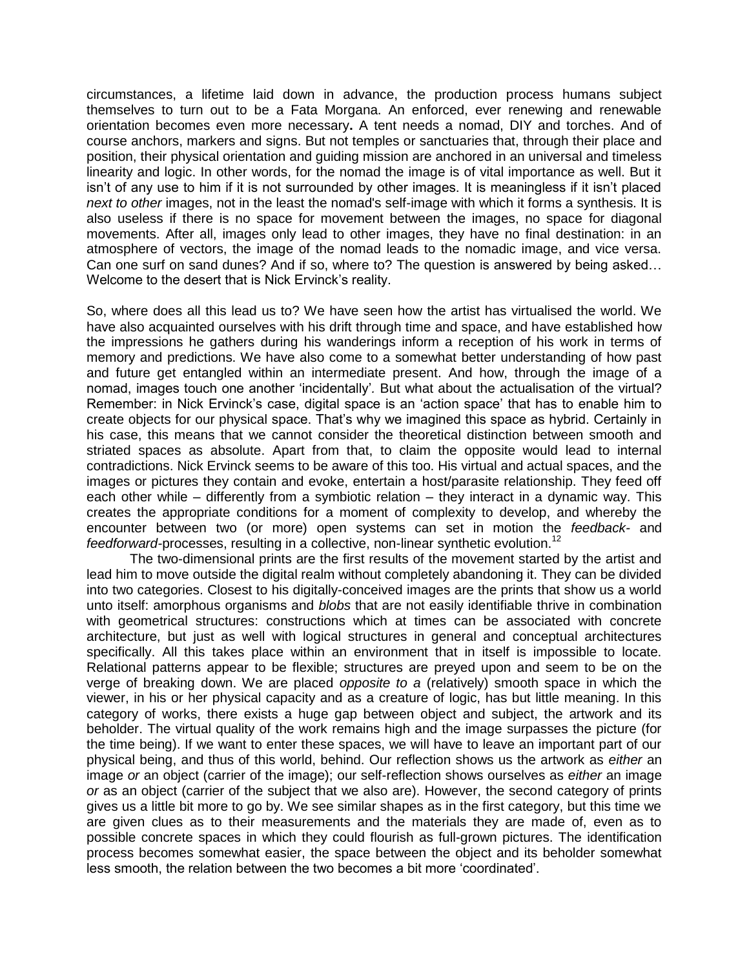circumstances, a lifetime laid down in advance, the production process humans subject themselves to turn out to be a Fata Morgana. An enforced, ever renewing and renewable orientation becomes even more necessary**.** A tent needs a nomad, DIY and torches. And of course anchors, markers and signs. But not temples or sanctuaries that, through their place and position, their physical orientation and guiding mission are anchored in an universal and timeless linearity and logic. In other words, for the nomad the image is of vital importance as well. But it isn't of any use to him if it is not surrounded by other images. It is meaningless if it isn't placed *next to other* images, not in the least the nomad's self-image with which it forms a synthesis. It is also useless if there is no space for movement between the images, no space for diagonal movements. After all, images only lead to other images, they have no final destination: in an atmosphere of vectors, the image of the nomad leads to the nomadic image, and vice versa. Can one surf on sand dunes? And if so, where to? The question is answered by being asked… Welcome to the desert that is Nick Ervinck's reality.

So, where does all this lead us to? We have seen how the artist has virtualised the world. We have also acquainted ourselves with his drift through time and space, and have established how the impressions he gathers during his wanderings inform a reception of his work in terms of memory and predictions. We have also come to a somewhat better understanding of how past and future get entangled within an intermediate present. And how, through the image of a nomad, images touch one another 'incidentally'*.* But what about the actualisation of the virtual? Remember: in Nick Ervinck's case, digital space is an 'action space' that has to enable him to create objects for our physical space. That's why we imagined this space as hybrid. Certainly in his case, this means that we cannot consider the theoretical distinction between smooth and striated spaces as absolute. Apart from that, to claim the opposite would lead to internal contradictions. Nick Ervinck seems to be aware of this too. His virtual and actual spaces, and the images or pictures they contain and evoke, entertain a host/parasite relationship. They feed off each other while – differently from a symbiotic relation – they interact in a dynamic way. This creates the appropriate conditions for a moment of complexity to develop, and whereby the encounter between two (or more) open systems can set in motion the *feedback-* and *feedforward-*processes, resulting in a collective, non-linear synthetic evolution.<sup>12</sup>

The two-dimensional prints are the first results of the movement started by the artist and lead him to move outside the digital realm without completely abandoning it. They can be divided into two categories. Closest to his digitally-conceived images are the prints that show us a world unto itself: amorphous organisms and *blobs* that are not easily identifiable thrive in combination with geometrical structures: constructions which at times can be associated with concrete architecture, but just as well with logical structures in general and conceptual architectures specifically. All this takes place within an environment that in itself is impossible to locate. Relational patterns appear to be flexible; structures are preyed upon and seem to be on the verge of breaking down. We are placed *opposite to a* (relatively) smooth space in which the viewer, in his or her physical capacity and as a creature of logic, has but little meaning. In this category of works, there exists a huge gap between object and subject, the artwork and its beholder. The virtual quality of the work remains high and the image surpasses the picture (for the time being). If we want to enter these spaces, we will have to leave an important part of our physical being, and thus of this world, behind. Our reflection shows us the artwork as *either* an image *or* an object (carrier of the image); our self-reflection shows ourselves as *either* an image *or* as an object (carrier of the subject that we also are). However, the second category of prints gives us a little bit more to go by. We see similar shapes as in the first category, but this time we are given clues as to their measurements and the materials they are made of, even as to possible concrete spaces in which they could flourish as full-grown pictures. The identification process becomes somewhat easier, the space between the object and its beholder somewhat less smooth, the relation between the two becomes a bit more 'coordinated'.